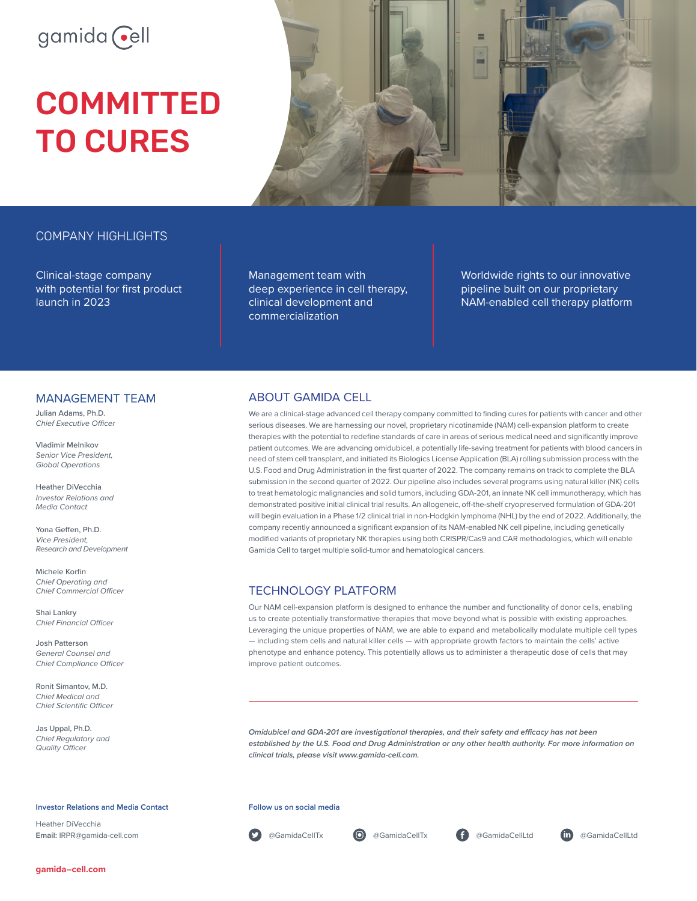# gamida cell

# **COMMITTED** TO CURES



# COMPANY HIGHLIGHTS

Clinical-stage company with potential for first product launch in 2023

Management team with deep experience in cell therapy, clinical development and commercialization

Worldwide rights to our innovative pipeline built on our proprietary NAM-enabled cell therapy platform

### MANAGEMENT TEAM

Julian Adams, Ph.D. *Chief Executive Officer*

Vladimir Melnikov *Senior Vice President, Global Operations* 

Heather DiVecchia *Investor Relations and Media Contact*

Yona Geffen, Ph.D. *Vice President, Research and Development*

Michele Korfin *Chief Operating and Chief Commercial Officer*

Shai Lankry *Chief Financial Officer*

Josh Patterson *General Counsel and Chief Compliance Officer*

Ronit Simantov, M.D. *Chief Medical and Chief Scientific Officer*

Jas Uppal, Ph.D. *Chief Regulatory and Quality Officer*

**Investor Relations and Media Contact**

Heather DiVecchia **Email:** IRPR@gamida-cell.com

## ABOUT GAMIDA CELL

We are a clinical-stage advanced cell therapy company committed to finding cures for patients with cancer and other serious diseases. We are harnessing our novel, proprietary nicotinamide (NAM) cell-expansion platform to create therapies with the potential to redefine standards of care in areas of serious medical need and significantly improve patient outcomes. We are advancing omidubicel, a potentially life-saving treatment for patients with blood cancers in need of stem cell transplant, and initiated its Biologics License Application (BLA) rolling submission process with the U.S. Food and Drug Administration in the first quarter of 2022. The company remains on track to complete the BLA submission in the second quarter of 2022. Our pipeline also includes several programs using natural killer (NK) cells to treat hematologic malignancies and solid tumors, including GDA-201, an innate NK cell immunotherapy, which has demonstrated positive initial clinical trial results. An allogeneic, off-the-shelf cryopreserved formulation of GDA-201 will begin evaluation in a Phase 1/2 clinical trial in non-Hodgkin lymphoma (NHL) by the end of 2022. Additionally, the company recently announced a significant expansion of its NAM-enabled NK cell pipeline, including genetically modified variants of proprietary NK therapies using both CRISPR/Cas9 and CAR methodologies, which will enable Gamida Cell to target multiple solid-tumor and hematological cancers.

# TECHNOLOGY PLATFORM

Our NAM cell-expansion platform is designed to enhance the number and functionality of donor cells, enabling us to create potentially transformative therapies that move beyond what is possible with existing approaches. Leveraging the unique properties of NAM, we are able to expand and metabolically modulate multiple cell types — including stem cells and natural killer cells — with appropriate growth factors to maintain the cells' active phenotype and enhance potency. This potentially allows us to administer a therapeutic dose of cells that may improve patient outcomes.

*Omidubicel and GDA-201 are investigational therapies, and their safety and efficacy has not been established by the U.S. Food and Drug Administration or any other health authority. For more information on clinical trials, please visit www.gamida-cell.com.*

#### **Follow us on social media**